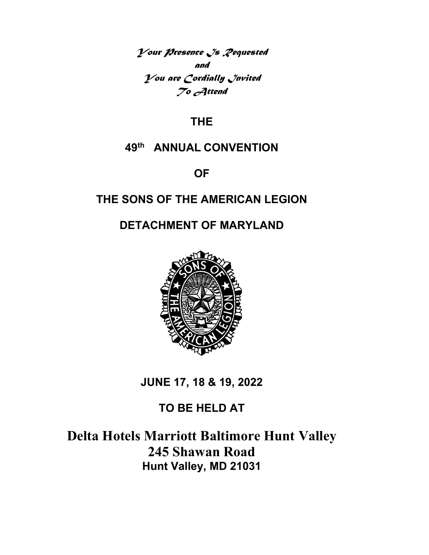*Your Presence Is Requested and You are Cordially Invited To Attend* 

# **THE**

# **49th ANNUAL CONVENTION**

**OF** 

# **THE SONS OF THE AMERICAN LEGION**

# **DETACHMENT OF MARYLAND**



**JUNE 17, 18 & 19, 2022** 

# **TO BE HELD AT**

# **Delta Hotels Marriott Baltimore Hunt Valley 245 Shawan Road Hunt Valley, MD 21031**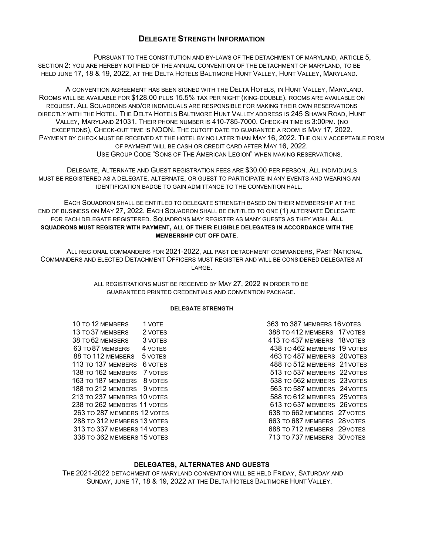### **DELEGATE STRENGTH INFORMATION**

PURSUANT TO THE CONSTITUTION AND BY-LAWS OF THE DETACHMENT OF MARYLAND, ARTICLE 5, SECTION 2: YOU ARE HEREBY NOTIFIED OF THE ANNUAL CONVENTION OF THE DETACHMENT OF MARYLAND, TO BE HELD JUNE 17, 18 & 19, 2022, AT THE DELTA HOTELS BALTIMORE HUNT VALLEY, HUNT VALLEY, MARYLAND.

A CONVENTION AGREEMENT HAS BEEN SIGNED WITH THE DELTA HOTELS, IN HUNT VALLEY, MARYLAND. ROOMS WILL BE AVAILABLE FOR \$128.00 PLUS 15.5% TAX PER NIGHT (KING-DOUBLE). ROOMS ARE AVAILABLE ON REQUEST. ALL SQUADRONS AND/OR INDIVIDUALS ARE RESPONSIBLE FOR MAKING THEIR OWN RESERVATIONS DIRECTLY WITH THE HOTEL. THE DELTA HOTELS BALTIMORE HUNT VALLEY ADDRESS IS 245 SHAWN ROAD, HUNT VALLEY, MARYLAND 21031. THEIR PHONE NUMBER IS 410-785-7000. CHECK-IN TIME IS 3:00PM. (NO EXCEPTIONS), CHECK-OUT TIME IS NOON. THE CUTOFF DATE TO GUARANTEE A ROOM IS MAY 17, 2022. PAYMENT BY CHECK MUST BE RECEIVED AT THE HOTEL BY NO LATER THAN MAY 16, 2022. THE ONLY ACCEPTABLE FORM OF PAYMENT WILL BE CASH OR CREDIT CARD AFTER MAY 16, 2022. USE GROUP CODE "SONS OF THE AMERICAN LEGION" WHEN MAKING RESERVATIONS.

DELEGATE, ALTERNATE AND GUEST REGISTRATION FEES ARE \$30.00 PER PERSON. ALL INDIVIDUALS MUST BE REGISTERED AS A DELEGATE, ALTERNATE, OR GUEST TO PARTICIPATE IN ANY EVENTS AND WEARING AN IDENTIFICATION BADGE TO GAIN ADMITTANCE TO THE CONVENTION HALL.

EACH SQUADRON SHALL BE ENTITLED TO DELEGATE STRENGTH BASED ON THEIR MEMBERSHIP AT THE END OF BUSINESS ON MAY 27, 2022. EACH SQUADRON SHALL BE ENTITLED TO ONE (1) ALTERNATE DELEGATE FOR EACH DELEGATE REGISTERED. SQUADRONS MAY REGISTER AS MANY GUESTS AS THEY WISH. **ALL SQUADRONS MUST REGISTER WITH PAYMENT, ALL OF THEIR ELIGIBLE DELEGATES IN ACCORDANCE WITH THE MEMBERSHIP CUT OFF DATE**.

ALL REGIONAL COMMANDERS FOR 2021-2022, ALL PAST DETACHMENT COMMANDERS, PAST NATIONAL COMMANDERS AND ELECTED DETACHMENT OFFICERS MUST REGISTER AND WILL BE CONSIDERED DELEGATES AT LARGE.

> ALL REGISTRATIONS MUST BE RECEIVED BY MAY 27, 2022 IN ORDER TO BE GUARANTEED PRINTED CREDENTIALS AND CONVENTION PACKAGE.

#### **DELEGATE STRENGTH**

10 TO 12 MEMBERS 1 VOTE 10 2000 100 100 363 TO 387 MEMBERS 16 VOTES 163 TO 187 MEMBERS 8 VOTES

13 TO 37 MEMBERS 2 VOTES<br>
13 TO 62 MEMBERS 3 VOTES<br>
38 TO 62 MEMBERS 3 VOTES<br>
38 TO 62 MEMBERS 3 VOTES 38 TO 62 MEMBERS 3 VOTES 413 TO 437 MEMBERS 18 VOTES 63 TO 87 MEMBERS 4 VOTES 4 TO 87 TO 438 TO 462 MEMBERS 19 VOTES 488 TO 412 MEMBERS 48 TO 462 MEMBERS 20 VOTES 463 TO 487 MEMBERS 20 VOTES 113 TO 137 MEMBERS 6 VOTES 488 TO 512 MEMBERS 21 VOTES 138 TO 162 MEMBERS 7 VOTES TO SALL THE STATE STATES STATES TO 537 MEMBERS 22 VOTES<br>163 TO 187 MEMBERS 8 VOTES TO SALL THE STATES 538 TO 562 MEMBERS 23 VOTES 188 TO 212 MEMBERS 9 VOTES **563 TO 587 MEMBERS** 24 VOTES 213 TO 237 MEMBERS 10 VOTES 688 TO 612 MEMBERS 25 VOTES 238 TO 262 MEMBERS 11 VOTES 613 TO 637 MEMBERS 26 VOTES 263 TO 287 MEMBERS 12 VOTES 638 TO 662 MEMBERS 27 VOTES 288 TO 312 MEMBERS 13 VOTES<br>313 TO 337 MEMBERS 14 VOTES 663 TO 712 MEMBERS 29 VOTES 688 TO 712 MEMBERS 29 VOTES 338 TO 362 MEMBERS 15 VOTES **713 TO 737 MEMBERS** 30 VOTES

#### **DELEGATES, ALTERNATES AND GUESTS**

THE 2021-2022 DETACHMENT OF MARYLAND CONVENTION WILL BE HELD FRIDAY, SATURDAY AND SUNDAY, JUNE 17, 18 & 19, 2022 AT THE DELTA HOTELS BALTIMORE HUNT VALLEY.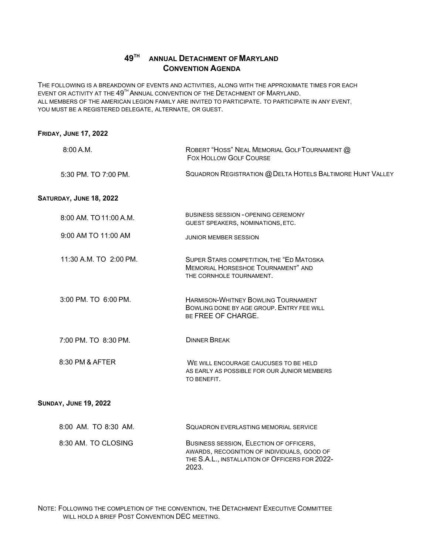# **49TH ANNUAL DETACHMENT OF MARYLAND CONVENTION AGENDA**

THE FOLLOWING IS A BREAKDOWN OF EVENTS AND ACTIVITIES, ALONG WITH THE APPROXIMATE TIMES FOR EACH EVENT OR ACTIVITY AT THE  $49^{\text{\tiny{TH}}}$ ANNUAL CONVENTION OF THE  $\text{DETACHMENT}$  OF  $\text{MARYLAND.}$ ALL MEMBERS OF THE AMERICAN LEGION FAMILY ARE INVITED TO PARTICIPATE. TO PARTICIPATE IN ANY EVENT, YOU MUST BE A REGISTERED DELEGATE, ALTERNATE, OR GUEST.

| <b>FRIDAY, JUNE 17, 2022</b> |                                                                                                                   |
|------------------------------|-------------------------------------------------------------------------------------------------------------------|
| 8:00 A.M.                    | ROBERT "HOSS" NEAL MEMORIAL GOLF TOURNAMENT @<br><b>FOX HOLLOW GOLF COURSE</b>                                    |
| 5:30 PM, TO 7:00 PM.         | SQUADRON REGISTRATION @ DELTA HOTELS BALTIMORE HUNT VALLEY                                                        |
| SATURDAY, JUNE 18, 2022      |                                                                                                                   |
| 8:00 AM. TO 11:00 A.M.       | <b>BUSINESS SESSION - OPENING CEREMONY</b><br>GUEST SPEAKERS, NOMINATIONS, ETC.                                   |
| 9:00 AM TO 11:00 AM          | <b>JUNIOR MEMBER SESSION</b>                                                                                      |
| 11:30 A.M. TO 2:00 PM.       | SUPER STARS COMPETITION, THE "ED MATOSKA<br><b>MEMORIAL HORSESHOE TOURNAMENT" AND</b><br>THE CORNHOLE TOURNAMENT. |
| 3:00 PM. TO 6:00 PM.         | HARMISON-WHITNEY BOWLING TOURNAMENT<br>BOWLING DONE BY AGE GROUP. ENTRY FEE WILL<br>BE FREE OF CHARGE.            |
| 7:00 PM. TO 8:30 PM.         | <b>DINNER BREAK</b>                                                                                               |
| 8:30 PM & AFTER              | WE WILL ENCOURAGE CAUCUSES TO BE HELD<br>AS EARLY AS POSSIBLE FOR OUR JUNIOR MEMBERS<br>TO BENEFIT.               |
| <b>SUNDAY, JUNE 19, 2022</b> |                                                                                                                   |
| 8:00 AM. TO 8:30 AM.         | <b>SQUADRON EVERLASTING MEMORIAL SERVICE</b>                                                                      |
| 8:30 AM. TO CLOSING          | BUSINESS SESSION, ELECTION OF OFFICERS,                                                                           |

AWARDS, RECOGNITION OF INDIVIDUALS, GOOD OF THE S.A.L., INSTALLATION OF OFFICERS FOR 2022-

NOTE: FOLLOWING THE COMPLETION OF THE CONVENTION, THE DETACHMENT EXECUTIVE COMMITTEE WILL HOLD A BRIEF POST CONVENTION DEC MEETING.

2023.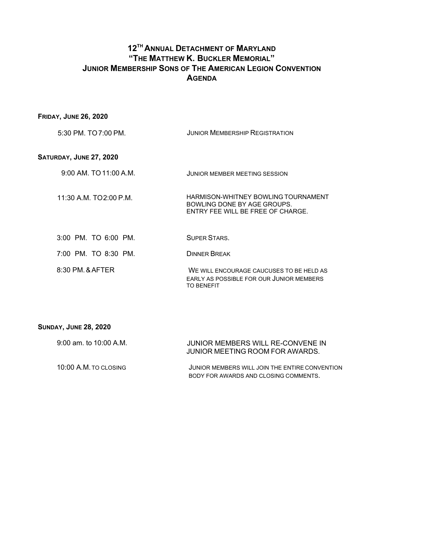# **12TH ANNUAL DETACHMENT OF MARYLAND "THE MATTHEW K. BUCKLER MEMORIAL" JUNIOR MEMBERSHIP SONS OF THE AMERICAN LEGION CONVENTION AGENDA**

# **FRIDAY, JUNE 26, 2020**

| 5:30 PM. TO 7:00 PM. | <b>JUNIOR MEMBERSHIP REGISTRATION</b> |
|----------------------|---------------------------------------|
|                      |                                       |

# **SATURDAY, JUNE 27, 2020**

| $9:00$ AM. TO 11:00 A.M. | <b>JUNIOR MEMBER MEETING SESSION</b>                                                                    |
|--------------------------|---------------------------------------------------------------------------------------------------------|
| 11:30 A.M. TO 2:00 P.M.  | HARMISON-WHITNEY BOWLING TOURNAMENT<br>BOWLING DONE BY AGE GROUPS.<br>ENTRY FEE WILL BE FREE OF CHARGE. |
| $3:00$ PM. TO $6:00$ PM. | SUPER STARS.                                                                                            |
| 7:00 PM. TO 8:30 PM.     | <b>DINNER BREAK</b>                                                                                     |
|                          |                                                                                                         |

| 8:30 PM. & AFTER | WE WILL ENCOURAGE CAUCUSES TO BE HELD AS                      |
|------------------|---------------------------------------------------------------|
|                  | EARLY AS POSSIBLE FOR OUR JUNIOR MEMBERS<br><b>TO BENEFIT</b> |
|                  |                                                               |

| JUNIOR MEMBERS WILL RE-CONVENE IN<br>JUNIOR MEETING ROOM FOR AWARDS.                    |
|-----------------------------------------------------------------------------------------|
| JUNIOR MEMBERS WILL JOIN THE ENTIRE CONVENTION<br>BODY FOR AWARDS AND CLOSING COMMENTS. |
|                                                                                         |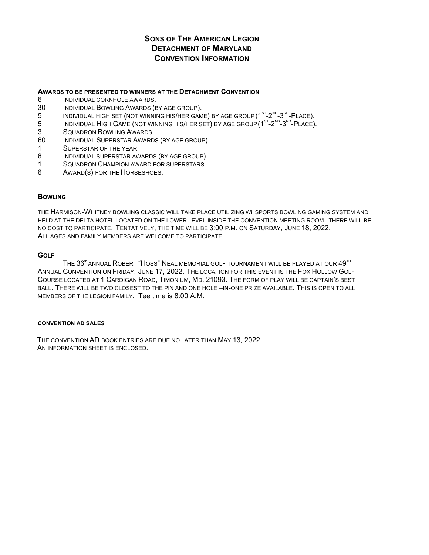# **SONS OF THE AMERICAN LEGION DETACHMENT OF MARYLAND CONVENTION INFORMATION**

#### **AWARDS TO BE PRESENTED TO WINNERS AT THE DETACHMENT CONVENTION**

- 6 INDIVIDUAL CORNHOLE AWARDS.
- 30 INDIVIDUAL BOWLING AWARDS (BY AGE GROUP).
- 5 INDIVIDUAL HIGH SET (NOT WINNING HIS/HER GAME) BY AGE GROUP  $(1^{ST} 2^{ND} 3^{RD} PLACE)$ .<br>5 INDIVIDUAL HIGH GAME (NOT WINNING HIS/HER SET) BY AGE GROUP ( $1^{ST} 2^{ND} 3^{RD} PLACE$ )
- INDIVIDUAL HIGH GAME (NOT WINNING HIS/HER SET) BY AGE GROUP ( $1<sup>ST</sup>-2<sup>ND</sup>-3<sup>RD</sup>-PLACE$ ).
- 3 SQUADRON BOWLING AWARDS.
- 60 INDIVIDUAL SUPERSTAR AWARDS (BY AGE GROUP).
- 1 SUPERSTAR OF THE YEAR.
- 6 INDIVIDUAL SUPERSTAR AWARDS (BY AGE GROUP).
- 1 SQUADRON CHAMPION AWARD FOR SUPERSTARS.
- 6 AWARD(S) FOR THE HORSESHOES.

#### **BOWLING**

THE HARMISON-WHITNEY BOWLING CLASSIC WILL TAKE PLACE UTILIZING Wii SPORTS BOWLING GAMING SYSTEM AND HELD AT THE DELTA HOTEL LOCATED ON THE LOWER LEVEL INSIDE THE CONVENTION MEETING ROOM. THERE WILL BE NO COST TO PARTICIPATE. TENTATIVELY, THE TIME WILL BE 3:00 P.M. ON SATURDAY, JUNE 18, 2022. ALL AGES AND FAMILY MEMBERS ARE WELCOME TO PARTICIPATE.

#### **GOLF**

THE  $36^{\text{th}}$  ANNUAL ROBERT "HOSS" NEAL MEMORIAL GOLF TOURNAMENT WILL BE PLAYED AT OUR  $49^{\text{th}}$ ANNUAL CONVENTION ON FRIDAY, JUNE 17, 2022. THE LOCATION FOR THIS EVENT IS THE FOX HOLLOW GOLF COURSE LOCATED AT 1 CARDIGAN ROAD, TIMONIUM, MD. 21093. THE FORM OF PLAY WILL BE CAPTAIN'S BEST BALL. THERE WILL BE TWO CLOSEST TO THE PIN AND ONE HOLE –IN-ONE PRIZE AVAILABLE. THIS IS OPEN TO ALL MEMBERS OF THE LEGION FAMILY. Tee time is 8:00 A.M.

#### **CONVENTION AD SALES**

THE CONVENTION AD BOOK ENTRIES ARE DUE NO LATER THAN MAY 13, 2022. AN INFORMATION SHEET IS ENCLOSED.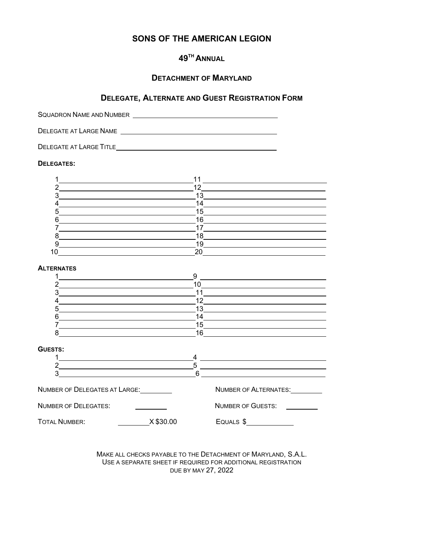# **SONS OF THE AMERICAN LEGION**

# **49TH ANNUAL**

## **DETACHMENT OF MARYLAND**

### **DELEGATE, ALTERNATE AND GUEST REGISTRATION FORM**

SQUADRON NAME AND NUMBER DELEGATE AT LARGE NAME \_\_\_\_\_\_ DELEGATE AT LARGE TITLE **DELEGATES:**  1 11 11 2 12 3 13 4 14  $5 - 15$  $6 \overline{\hspace{1cm}}$  16 7 17 8 18 9 19 10 20 **ALTERNATES** 1 9 2 10  $3 \qquad \qquad 11$ 4 12 5 13  $6 \overline{\hspace{1cm}} 14$ 7 15 8 16 **GUESTS:**  1 4 2 5  $3 \qquad \qquad 6$ NUMBER OF DELEGATES AT LARGE: Number OF ALTERNATES:

NUMBER OF DELEGATES: NUMBER OF GUESTS: TOTAL NUMBER: X \$30.00 EQUALS \$

> MAKE ALL CHECKS PAYABLE TO THE DETACHMENT OF MARYLAND, S.A.L. USE A SEPARATE SHEET IF REQUIRED FOR ADDITIONAL REGISTRATION DUE BY MAY 27, 2022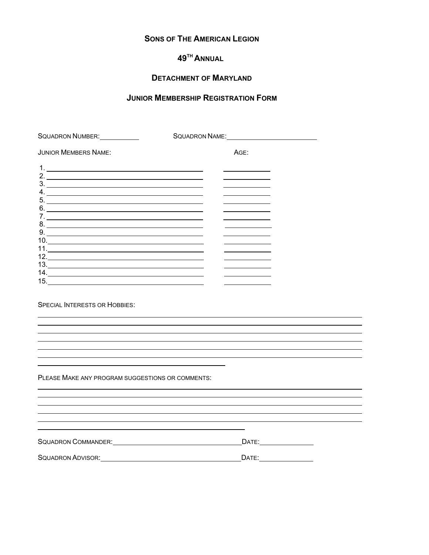## **SONS OF THE AMERICAN LEGION**

# **49TH ANNUAL**

# **DETACHMENT OF MARYLAND**

# **JUNIOR MEMBERSHIP REGISTRATION FORM**

| SQUADRON NUMBER: VICTOR AND THE      | SQUADRON NAME: CONSERVERSION NAME: |
|--------------------------------------|------------------------------------|
| <b>JUNIOR MEMBERS NAME:</b>          | AGE:                               |
|                                      |                                    |
| 3.                                   |                                    |
| 4.                                   |                                    |
| $5.$ $\overline{\phantom{a}}$<br>6.  |                                    |
|                                      |                                    |
| $8. \underline{\hspace{2cm}}$<br>9.  |                                    |
|                                      |                                    |
|                                      |                                    |
|                                      |                                    |
|                                      |                                    |
|                                      |                                    |
| <b>SPECIAL INTERESTS OR HOBBIES:</b> |                                    |

PLEASE MAKE ANY PROGRAM SUGGESTIONS OR COMMENTS:

SQUADRON COMMANDER: DATE: DATE: DATE:

SQUADRON ADVISOR: UNITED ACCORDING TO A LOCAL CONTROL CONTROL CONTROL CONTROL CONTROL CONTROL CONTROL CONTROL CONTROL CONTROL CONTROL CONTROL CONTROL CONTROL CONTROL CONTROL CONTROL CONTROL CONTROL CONTROL CONTROL CONTROL

<u> 1989 - Johann Stoff, amerikansk politiker (\* 1908)</u>

<u> 1989 - Johann Stoff, amerikansk politiker (d. 1989)</u>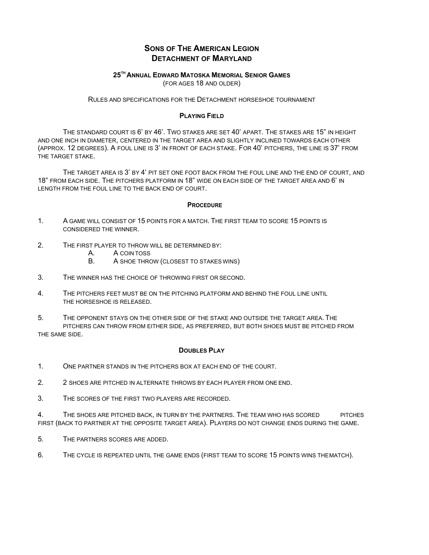## **SONS OF THE AMERICAN LEGION DETACHMENT OF MARYLAND**

## **25TH ANNUAL EDWARD MATOSKA MEMORIAL SENIOR GAMES**

(FOR AGES 18 AND OLDER)

RULES AND SPECIFICATIONS FOR THE DETACHMENT HORSESHOE TOURNAMENT

#### **PLAYING FIELD**

THE STANDARD COURT IS 6' BY 46'. TWO STAKES ARE SET 40' APART. THE STAKES ARE 15" IN HEIGHT AND ONE INCH IN DIAMETER, CENTERED IN THE TARGET AREA AND SLIGHTLY INCLINED TOWARDS EACH OTHER (APPROX. 12 DEGREES). A FOUL LINE IS 3' IN FRONT OF EACH STAKE. FOR 40' PITCHERS, THE LINE IS 37' FROM THE TARGET STAKE.

THE TARGET AREA IS 3' BY 4' PIT SET ONE FOOT BACK FROM THE FOUL LINE AND THE END OF COURT, AND 18" FROM EACH SIDE. THE PITCHERS PLATFORM IN 18" WIDE ON EACH SIDE OF THE TARGET AREA AND 6' IN LENGTH FROM THE FOUL LINE TO THE BACK END OF COURT.

#### **PROCEDURE**

- 1. A GAME WILL CONSIST OF 15 POINTS FOR A MATCH. THE FIRST TEAM TO SCORE 15 POINTS IS CONSIDERED THE WINNER.
- 2. THE FIRST PLAYER TO THROW WILL BE DETERMINED BY:
	- A. A COIN TOSS
	- B. A SHOE THROW (CLOSEST TO STAKES WINS)
- 3. THE WINNER HAS THE CHOICE OF THROWING FIRST OR SECOND.
- 4. THE PITCHERS FEET MUST BE ON THE PITCHING PLATFORM AND BEHIND THE FOUL LINE UNTIL THE HORSESHOE IS RELEASED.
- 5. THE OPPONENT STAYS ON THE OTHER SIDE OF THE STAKE AND OUTSIDE THE TARGET AREA. THE PITCHERS CAN THROW FROM EITHER SIDE, AS PREFERRED, BUT BOTH SHOES MUST BE PITCHED FROM THE SAME SIDE.

#### **DOUBLES PLAY**

- 1. ONE PARTNER STANDS IN THE PITCHERS BOX AT EACH END OF THE COURT.
- 2. 2 SHOES ARE PITCHED IN ALTERNATE THROWS BY EACH PLAYER FROM ONE END.
- 3. THE SCORES OF THE FIRST TWO PLAYERS ARE RECORDED.

4. THE SHOES ARE PITCHED BACK, IN TURN BY THE PARTNERS. THE TEAM WHO HAS SCORED PITCHES FIRST (BACK TO PARTNER AT THE OPPOSITE TARGET AREA). PLAYERS DO NOT CHANGE ENDS DURING THE GAME.

5. THE PARTNERS SCORES ARE ADDED.

6. THE CYCLE IS REPEATED UNTIL THE GAME ENDS (FIRST TEAM TO SCORE 15 POINTS WINS THE MATCH).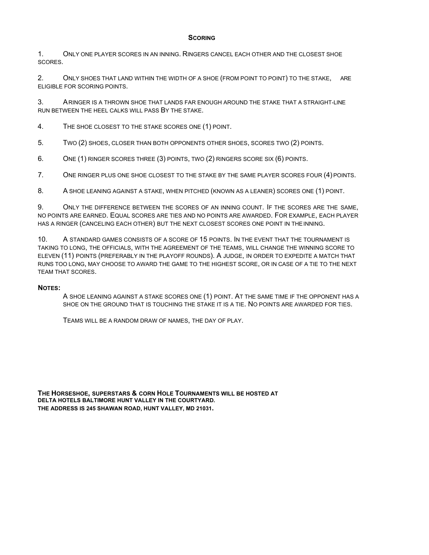#### **SCORING**

1. ONLY ONE PLAYER SCORES IN AN INNING. RINGERS CANCEL EACH OTHER AND THE CLOSEST SHOE **SCORES** 

2. ONLY SHOES THAT LAND WITHIN THE WIDTH OF A SHOE (FROM POINT TO POINT) TO THE STAKE, ARE ELIGIBLE FOR SCORING POINTS.

3. ARINGER IS A THROWN SHOF THAT LANDS FAR ENOUGH AROUND THE STAKE THAT A STRAIGHT-LINE RUN BETWEEN THE HEEL CALKS WILL PASS BY THE STAKE.

4. THE SHOE CLOSEST TO THE STAKE SCORES ONE (1) POINT.

5. TWO (2) SHOES, CLOSER THAN BOTH OPPONENTS OTHER SHOES, SCORES TWO (2) POINTS.

6. ONE (1) RINGER SCORES THREE (3) POINTS, TWO (2) RINGERS SCORE SIX (6) POINTS.

7. ONE RINGER PLUS ONE SHOE CLOSEST TO THE STAKE BY THE SAME PLAYER SCORES FOUR (4) POINTS.

8. A SHOE LEANING AGAINST A STAKE, WHEN PITCHED (KNOWN AS A LEANER) SCORES ONE (1) POINT.

9. ONLY THE DIFFERENCE BETWEEN THE SCORES OF AN INNING COUNT. IF THE SCORES ARE THE SAME, NO POINTS ARE EARNED. EQUAL SCORES ARE TIES AND NO POINTS ARE AWARDED. FOR EXAMPLE, EACH PLAYER HAS A RINGER (CANCELING EACH OTHER) BUT THE NEXT CLOSEST SCORES ONE POINT IN THE INNING.

10. A STANDARD GAMES CONSISTS OF A SCORE OF 15 POINTS. IN THE EVENT THAT THE TOURNAMENT IS TAKING TO LONG, THE OFFICIALS, WITH THE AGREEMENT OF THE TEAMS, WILL CHANGE THE WINNING SCORE TO ELEVEN (11) POINTS (PREFERABLY IN THE PLAYOFF ROUNDS). A JUDGE, IN ORDER TO EXPEDITE A MATCH THAT RUNS TOO LONG, MAY CHOOSE TO AWARD THE GAME TO THE HIGHEST SCORE, OR IN CASE OF A TIE TO THE NEXT TEAM THAT SCORES.

#### **NOTES:**

A SHOE LEANING AGAINST A STAKE SCORES ONE (1) POINT. AT THE SAME TIME IF THE OPPONENT HAS A SHOE ON THE GROUND THAT IS TOUCHING THE STAKE IT IS A TIE. NO POINTS ARE AWARDED FOR TIES.

TEAMS WILL BE A RANDOM DRAW OF NAMES, THE DAY OF PLAY.

**THE HORSESHOE, SUPERSTARS & CORN HOLE TOURNAMENTS WILL BE HOSTED AT DELTA HOTELS BALTIMORE HUNT VALLEY IN THE COURTYARD. THE ADDRESS IS 245 SHAWAN ROAD, HUNT VALLEY, MD 21031.**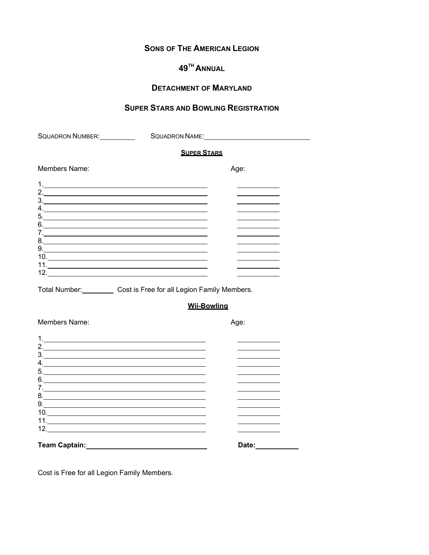# **SONS OF THE AMERICAN LEGION**

# **49TH ANNUAL**

# **DETACHMENT OF MARYLAND**

# **SUPER STARS AND BOWLING REGISTRATION**

| SQUADRON NUMBER:                                          | SQUADRON NAME:                                                                                                                                                                                                                                                                                                                                                                                                                                                   |
|-----------------------------------------------------------|------------------------------------------------------------------------------------------------------------------------------------------------------------------------------------------------------------------------------------------------------------------------------------------------------------------------------------------------------------------------------------------------------------------------------------------------------------------|
|                                                           | <b>SUPER STARS</b>                                                                                                                                                                                                                                                                                                                                                                                                                                               |
| Members Name:                                             | Age:                                                                                                                                                                                                                                                                                                                                                                                                                                                             |
| $\frac{1}{2}$                                             | $1.$ $\overline{\phantom{a}}$<br>2. $\frac{1}{2}$<br>6.<br>9.<br>$10.$ $\blacksquare$                                                                                                                                                                                                                                                                                                                                                                            |
|                                                           | Total Number: Cost is Free for all Legion Family Members.                                                                                                                                                                                                                                                                                                                                                                                                        |
|                                                           | <b>Wii-Bowling</b>                                                                                                                                                                                                                                                                                                                                                                                                                                               |
| Members Name:                                             | Age:                                                                                                                                                                                                                                                                                                                                                                                                                                                             |
| 4. $\qquad \qquad$<br>$6.$ $\overline{\phantom{a}}$<br>7. | 2. $\overline{\phantom{a}}$<br>$\begin{array}{c c c c c c} \hline \text{5.} & \text{5.} & \text{5.} & \text{5.} & \text{5.} \\ \hline \end{array}$<br>9.                                                                                                                                                                                                                                                                                                         |
|                                                           | Team Captain: The Captain Captain Captain Captain Captain Captain Captain Captain Captain Captain Captain Captain Captain Captain Captain Captain Captain Captain Captain Captain Captain Captain Captain Captain Captain Capt<br>Date: the contract of the contract of the contract of the contract of the contract of the contract of the contract of the contract of the contract of the contract of the contract of the contract of the contract of the cont |

Cost is Free for all Legion Family Members.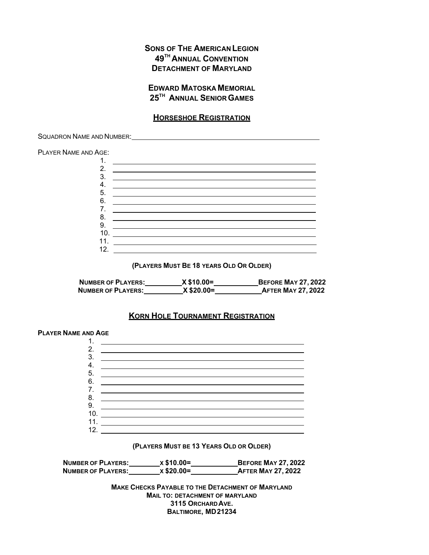# **SONS OF THE AMERICAN LEGION 49TH ANNUAL CONVENTION DETACHMENT OF MARYLAND**

## **EDWARD MATOSKA MEMORIAL 25TH ANNUAL SENIOR GAMES**

## **HORSESHOE REGISTRATION**

SQUADRON NAME AND NUMBER:

PLAYER NAME AND AGE:



**(PLAYERS MUST BE 18 YEARS OLD OR OLDER)** 

| <b>NUMBER OF PLAYERS:</b> | $X $10.00 =$ | <b>BEFORE MAY 27, 2022</b> |
|---------------------------|--------------|----------------------------|
| <b>NUMBER OF PLAYERS:</b> | $X$ \$20.00= | <b>AFTER MAY 27, 2022</b>  |

## **KORN HOLE TOURNAMENT REGISTRATION**



**NUMBER OF PLAYERS:** X \$10.00= X \$10.00 KEEPORE MAY 27, 2022 **NUMBER OF PLAYERS:** X \$20.00= AFTER MAY 27, 2022

> **MAKE CHECKS PAYABLE TO THE DETACHMENT OF MARYLAND MAIL TO: DETACHMENT OF MARYLAND 3115 ORCHARD AVE. BALTIMORE, MD 21234**